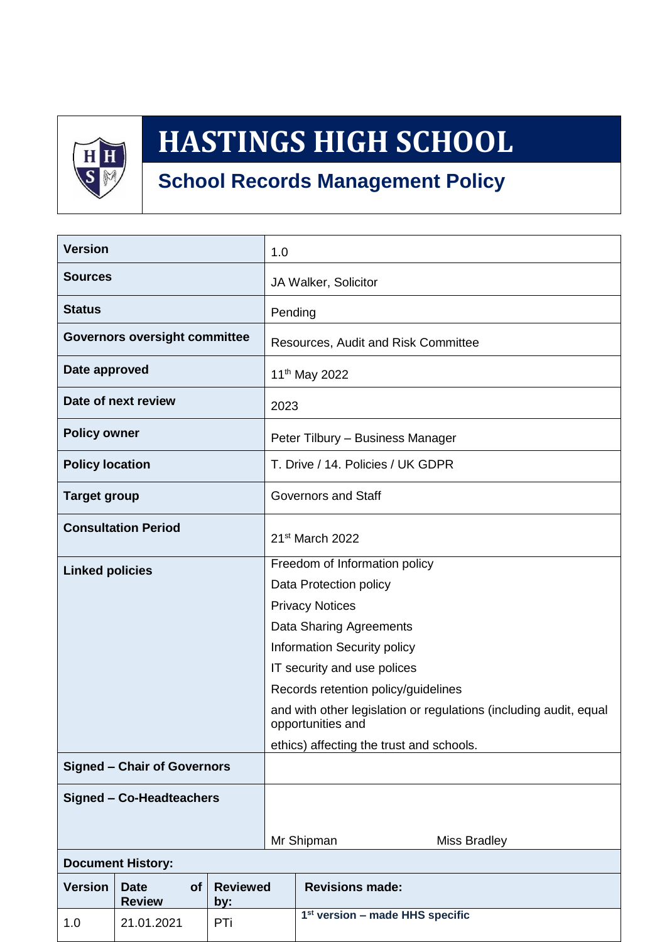

# **HASTINGS HIGH SCHOOL**

# **School Records Management Policy**

| <b>Version</b>                       |                                    | 1.0                    |                                     |                                                                                        |  |  |
|--------------------------------------|------------------------------------|------------------------|-------------------------------------|----------------------------------------------------------------------------------------|--|--|
| <b>Sources</b>                       |                                    |                        | JA Walker, Solicitor                |                                                                                        |  |  |
| <b>Status</b>                        |                                    |                        | Pending                             |                                                                                        |  |  |
| <b>Governors oversight committee</b> |                                    |                        | Resources, Audit and Risk Committee |                                                                                        |  |  |
| Date approved                        |                                    |                        | 11 <sup>th</sup> May 2022           |                                                                                        |  |  |
| Date of next review                  |                                    |                        | 2023                                |                                                                                        |  |  |
| <b>Policy owner</b>                  |                                    |                        | Peter Tilbury - Business Manager    |                                                                                        |  |  |
| <b>Policy location</b>               |                                    |                        | T. Drive / 14. Policies / UK GDPR   |                                                                                        |  |  |
| <b>Target group</b>                  |                                    |                        | <b>Governors and Staff</b>          |                                                                                        |  |  |
| <b>Consultation Period</b>           |                                    |                        | 21 <sup>st</sup> March 2022         |                                                                                        |  |  |
| <b>Linked policies</b>               |                                    |                        | Freedom of Information policy       |                                                                                        |  |  |
|                                      |                                    |                        | Data Protection policy              |                                                                                        |  |  |
|                                      |                                    |                        | <b>Privacy Notices</b>              |                                                                                        |  |  |
|                                      |                                    |                        | Data Sharing Agreements             |                                                                                        |  |  |
|                                      |                                    |                        | Information Security policy         |                                                                                        |  |  |
|                                      |                                    |                        |                                     | IT security and use polices                                                            |  |  |
|                                      |                                    |                        |                                     | Records retention policy/guidelines                                                    |  |  |
|                                      |                                    |                        |                                     | and with other legislation or regulations (including audit, equal<br>opportunities and |  |  |
|                                      |                                    |                        |                                     | ethics) affecting the trust and schools.                                               |  |  |
| <b>Signed - Chair of Governors</b>   |                                    |                        |                                     |                                                                                        |  |  |
| <b>Signed - Co-Headteachers</b>      |                                    |                        |                                     |                                                                                        |  |  |
|                                      |                                    |                        |                                     | Mr Shipman<br>Miss Bradley                                                             |  |  |
| <b>Document History:</b>             |                                    |                        |                                     |                                                                                        |  |  |
| <b>Version</b>                       | of<br><b>Date</b><br><b>Review</b> | <b>Reviewed</b><br>by: |                                     | <b>Revisions made:</b>                                                                 |  |  |
| 1.0                                  | 21.01.2021                         | PTi                    |                                     | 1 <sup>st</sup> version - made HHS specific                                            |  |  |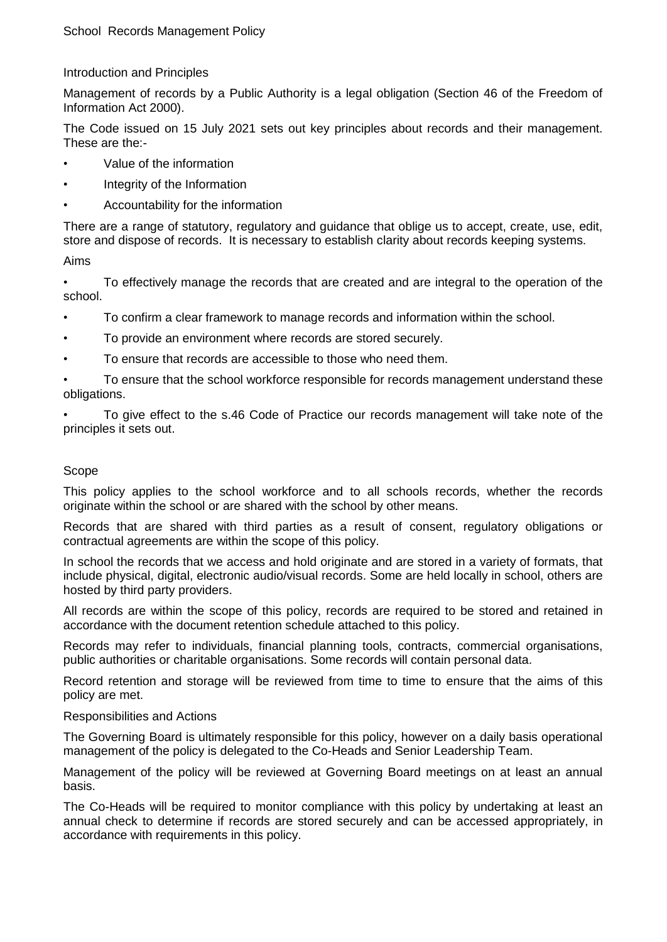#### Introduction and Principles

Management of records by a Public Authority is a legal obligation (Section 46 of the Freedom of Information Act 2000).

The Code issued on 15 July 2021 sets out key principles about records and their management. These are the:-

- Value of the information
- Integrity of the Information
- Accountability for the information

There are a range of statutory, regulatory and guidance that oblige us to accept, create, use, edit, store and dispose of records. It is necessary to establish clarity about records keeping systems.

#### Aims

• To effectively manage the records that are created and are integral to the operation of the school.

- To confirm a clear framework to manage records and information within the school.
- To provide an environment where records are stored securely.
- To ensure that records are accessible to those who need them.

• To ensure that the school workforce responsible for records management understand these obligations.

• To give effect to the s.46 Code of Practice our records management will take note of the principles it sets out.

#### Scope

This policy applies to the school workforce and to all schools records, whether the records originate within the school or are shared with the school by other means.

Records that are shared with third parties as a result of consent, regulatory obligations or contractual agreements are within the scope of this policy.

In school the records that we access and hold originate and are stored in a variety of formats, that include physical, digital, electronic audio/visual records. Some are held locally in school, others are hosted by third party providers.

All records are within the scope of this policy, records are required to be stored and retained in accordance with the document retention schedule attached to this policy.

Records may refer to individuals, financial planning tools, contracts, commercial organisations, public authorities or charitable organisations. Some records will contain personal data.

Record retention and storage will be reviewed from time to time to ensure that the aims of this policy are met.

#### Responsibilities and Actions

The Governing Board is ultimately responsible for this policy, however on a daily basis operational management of the policy is delegated to the Co-Heads and Senior Leadership Team.

Management of the policy will be reviewed at Governing Board meetings on at least an annual basis.

The Co-Heads will be required to monitor compliance with this policy by undertaking at least an annual check to determine if records are stored securely and can be accessed appropriately, in accordance with requirements in this policy.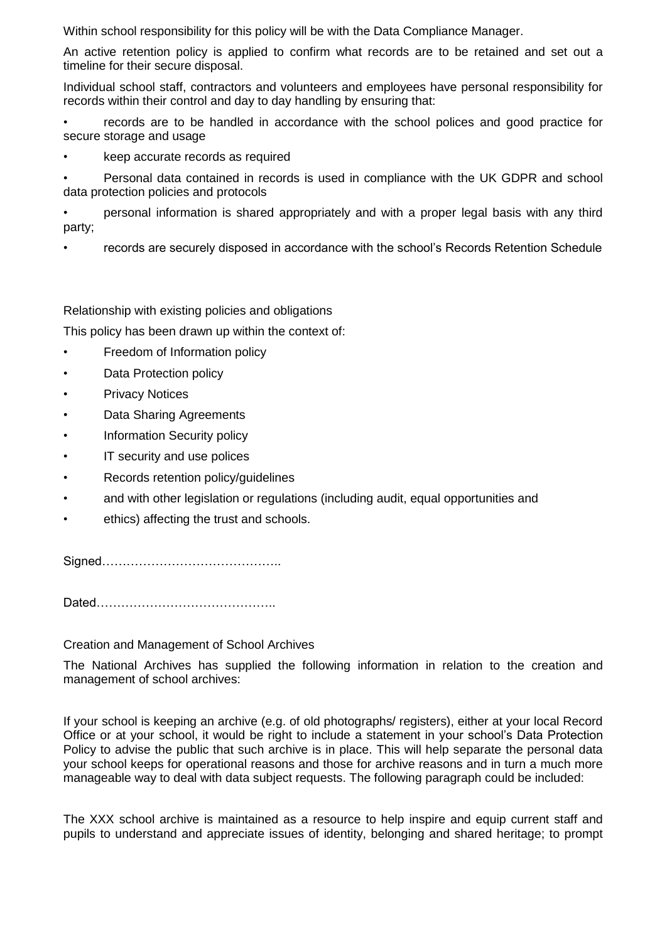Within school responsibility for this policy will be with the Data Compliance Manager.

An active retention policy is applied to confirm what records are to be retained and set out a timeline for their secure disposal.

Individual school staff, contractors and volunteers and employees have personal responsibility for records within their control and day to day handling by ensuring that:

• records are to be handled in accordance with the school polices and good practice for secure storage and usage

• keep accurate records as required

• Personal data contained in records is used in compliance with the UK GDPR and school data protection policies and protocols

• personal information is shared appropriately and with a proper legal basis with any third party;

• records are securely disposed in accordance with the school's Records Retention Schedule

Relationship with existing policies and obligations

This policy has been drawn up within the context of:

- Freedom of Information policy
- Data Protection policy
- Privacy Notices
- Data Sharing Agreements
- Information Security policy
- IT security and use polices
- Records retention policy/quidelines
- and with other legislation or regulations (including audit, equal opportunities and
- ethics) affecting the trust and schools.

Signed……………………………………..

Dated……………………………………..

Creation and Management of School Archives

The National Archives has supplied the following information in relation to the creation and management of school archives:

If your school is keeping an archive (e.g. of old photographs/ registers), either at your local Record Office or at your school, it would be right to include a statement in your school's Data Protection Policy to advise the public that such archive is in place. This will help separate the personal data your school keeps for operational reasons and those for archive reasons and in turn a much more manageable way to deal with data subject requests. The following paragraph could be included:

The XXX school archive is maintained as a resource to help inspire and equip current staff and pupils to understand and appreciate issues of identity, belonging and shared heritage; to prompt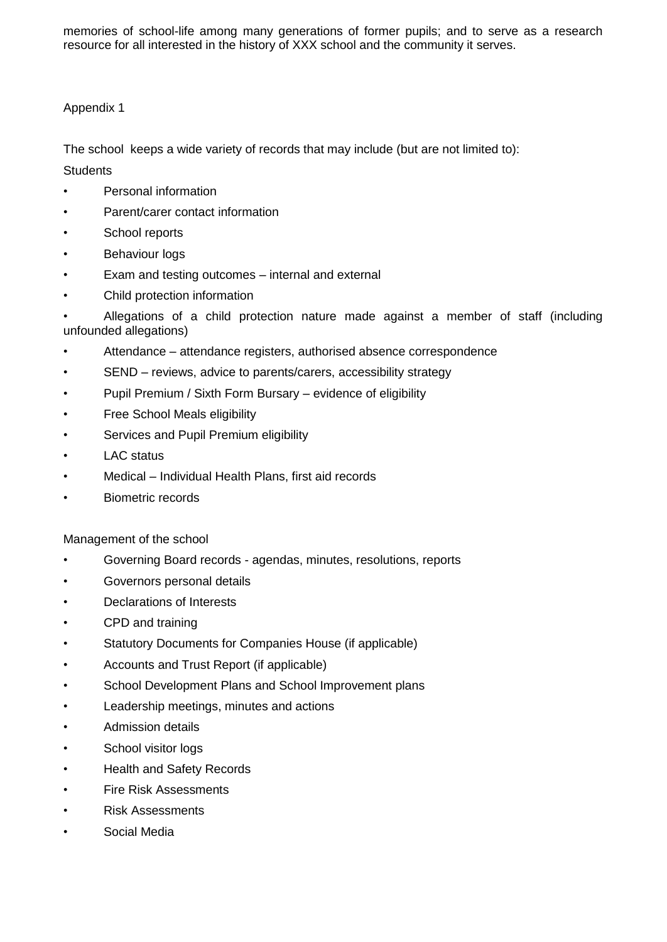memories of school-life among many generations of former pupils; and to serve as a research resource for all interested in the history of XXX school and the community it serves.

#### Appendix 1

The school keeps a wide variety of records that may include (but are not limited to):

# **Students**

- Personal information
- Parent/carer contact information
- School reports
- Behaviour logs
- Exam and testing outcomes internal and external
- Child protection information

• Allegations of a child protection nature made against a member of staff (including unfounded allegations)

- Attendance attendance registers, authorised absence correspondence
- SEND reviews, advice to parents/carers, accessibility strategy
- Pupil Premium / Sixth Form Bursary evidence of eligibility
- Free School Meals eligibility
- Services and Pupil Premium eligibility
- LAC status
- Medical Individual Health Plans, first aid records
- Biometric records

Management of the school

- Governing Board records agendas, minutes, resolutions, reports
- Governors personal details
- Declarations of Interests
- CPD and training
- Statutory Documents for Companies House (if applicable)
- Accounts and Trust Report (if applicable)
- School Development Plans and School Improvement plans
- Leadership meetings, minutes and actions
- Admission details
- School visitor logs
- Health and Safety Records
- Fire Risk Assessments
- Risk Assessments
- Social Media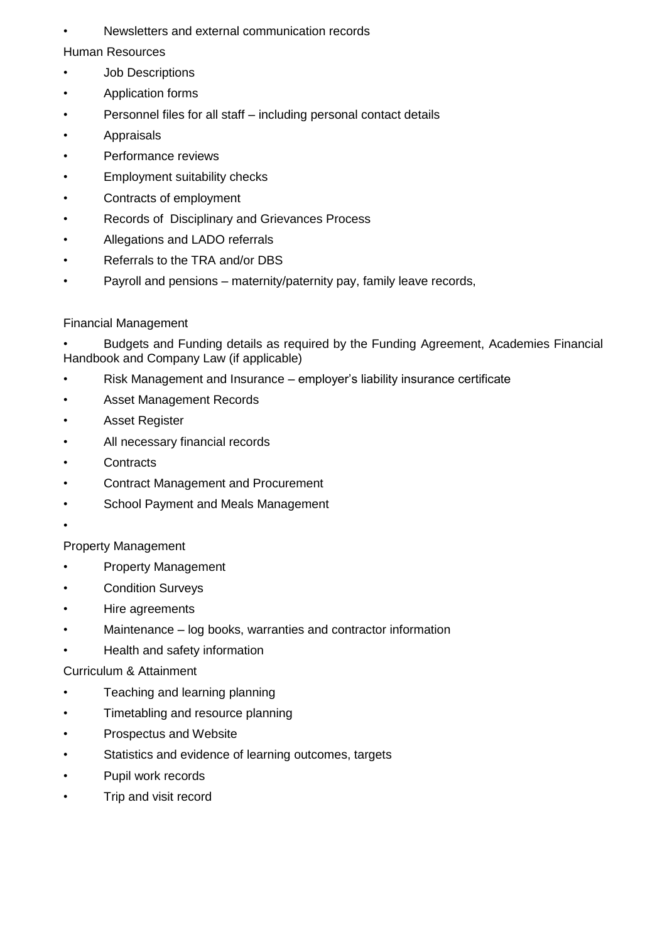• Newsletters and external communication records

Human Resources

- **Job Descriptions**
- Application forms
- Personnel files for all staff including personal contact details
- **Appraisals**
- Performance reviews
- Employment suitability checks
- Contracts of employment
- Records of Disciplinary and Grievances Process
- Allegations and LADO referrals
- Referrals to the TRA and/or DBS
- Payroll and pensions maternity/paternity pay, family leave records,

# Financial Management

• Budgets and Funding details as required by the Funding Agreement, Academies Financial Handbook and Company Law (if applicable)

- Risk Management and Insurance employer's liability insurance certificate
- Asset Management Records
- Asset Register
- All necessary financial records
- **Contracts**
- Contract Management and Procurement
- School Payment and Meals Management
- •

# Property Management

- Property Management
- Condition Surveys
- Hire agreements
- Maintenance log books, warranties and contractor information
- Health and safety information

# Curriculum & Attainment

- Teaching and learning planning
- Timetabling and resource planning
- Prospectus and Website
- Statistics and evidence of learning outcomes, targets
- Pupil work records
- Trip and visit record